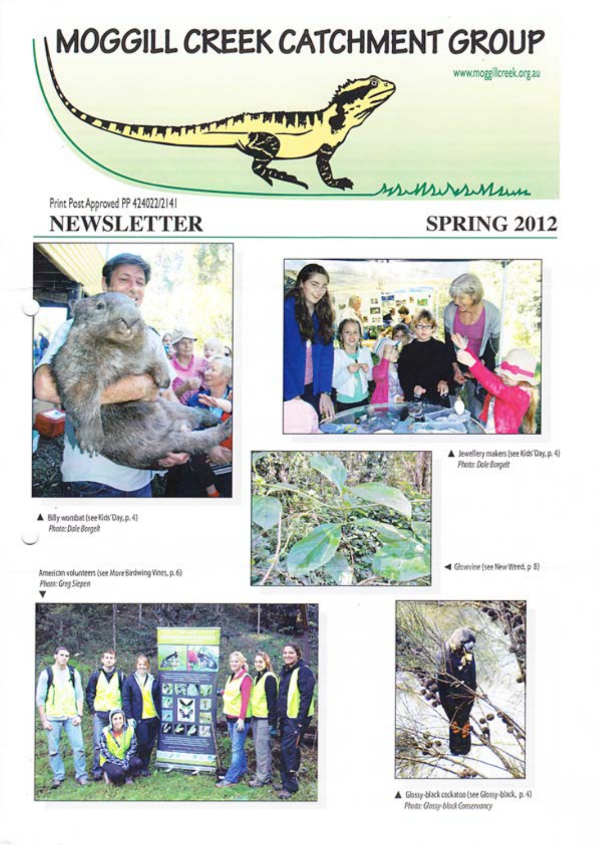

# Print Post Approved PP 424022/2141 **NEWSLETTER**

# **SPRING 2012**



Billy wombat (see Kids'Day, p. 4) **Photo: Dale Borgelt** 





Sewellery makers (see Kids' Day, p. 4) Photo: Dale Borgelt

<br />
Glowvine (see New Wreed, p 8)

American volunteers (see More Birdwing Vines, p. 6) Photo: Greg Siepen





Glossy-black cockatoo (see Glossy-black, p. 4) Photo: Glossy-black Conservancy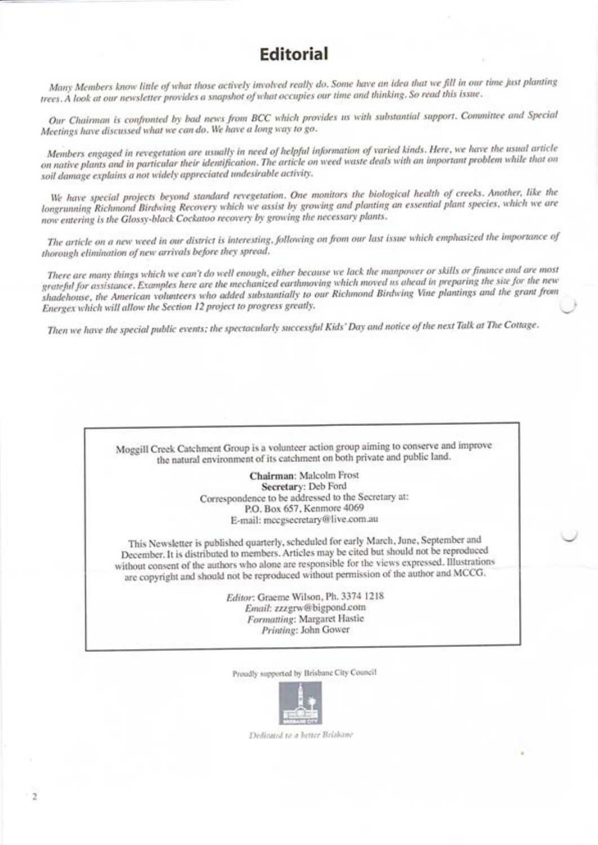# **Editorial**

Many Members know little of what those actively involved really do. Some have an idea that we fill in our time just planting trees. A look at our newsletter provides a snapshot of what occupies our time and thinking, So read this issue.

Our Chairman is confronted by bad news from BCC which provides us with substantial support. Committee and Special Meetings have discussed what we can do. We have a long way to go.

Members engaged in revegetation are usually in need of helpful information of varied kinds. Here, we have the usual article on native plants and in particular their identification. The article on weed waste deals with an important problem while that on soil damage explains a not widely appreciated undesirable activity.

We have special projects beyond standard revegetation. One monitors the biological health of creeks. Another, like the longrunning Richmond Birdwing Recovery which we assist by growing and planting an essential plant species, which we are now entering is the Glossy-black Cockatoo recovery by growing the necessary plants.

The article on a new weed in our district is interesting, following on from our last issue which emphasized the importance of thorough elimination of new arrivals before they spread.

There are many things which we can't do well enough, either because we lack the manpower or skills or finance and are most grateful for assistance. Examples here are the mechanized earthmoving which moved us ahead in preparing the site for the new shadehouse, the American volunteers who added substantially to our Richmond Birdwing Vine plantings and the grant from Energex which will allow the Section 12 project to progress greatly.

Then we have the special public events; the spectacularly successful Kids' Day and notice of the next Talk at The Cottage.



Proudly supported by Brisbane City Council



Dedicated to a better Brithane

 $\overline{2}$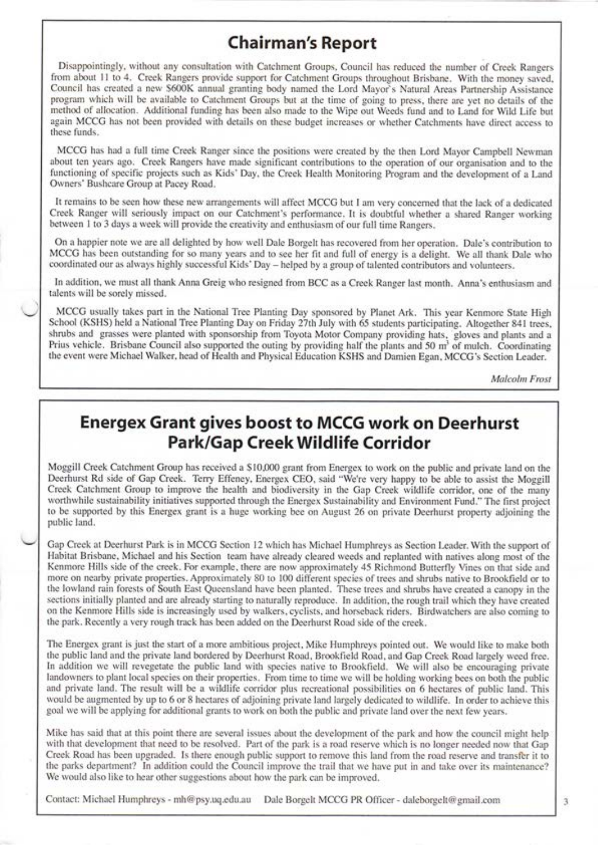### Chairman's Report

Disappointingly, without any consultation with Catchment Groups, Council has reduced the number of Creek Rangers from about l1 to 4. Creek Rangers provide support for Catchment Groups throughout Brisbane. With the money saved, Council has created a new \$600K annual granting body named the Lord Mayor's Natural Areas Partnership Assistance program which will be available to Catchment Groups but at the time of going to press, there are yet no details of the method of allocation. Additional funding has been also made to the Wipe out Weeds fund and to Land for Wild Life but again MCCG has not been provided with details on these budget increases or whether Catchments have direct access to these funds.

MCCG has had a full time Creek Ranger since the positions were created by the then Lord Mayor Campbell Newman about ten years ago. Creek Rangers have made significant contributions to the operation of our organisation and to the functioning of specific projects such as Kids' Day, the Creek Health Monitoring Program and the development of a Land Owners' Bushcare Group at Pacey Road.

It remains to be seen how these new arrangements will affect MCCG but I am very concerned that the lack of a dedicated Creek Ranger will seriously impact on our Catchment's performance. It is doubtful whether a shared Ranger working between 1 to 3 days a week will provide the creativity and enthusiasm of our full time Rangers.

On a happier note we are all delighted by horv rvell Dale Borgelt has recovered from her operation. Dale's contribution to MCCG has been outstanding for so many years and to see her fit and full of energy is a delight. We all thank Dale who coordinated our as always highly successful Kids' Day - helped by a group of talented contributors and volunteers.

In addition, we must all thank Anna Greig who resigned from BCC as a Creek Ranger last month. Anna's enthusiasm and talents will be sorely missed.

MCCG usually takes part in the National Tree Planting Day sponsored by Planet Ark. This year Kenmore State High School (KSHS) held a National Tree Planting Day on Friday 27th July with 65 students participating. Altogether 841 trees, shrubs and grasses were planted with sponsorship from Toyota Motor Company providing hats, gloves and plants and a Prius vehicle. Brisbane Council also supported the outing by providing half the plants and 50 m<sup>3</sup> of mulch. Coordinating the event were Michael Walker, head of Health and Physical Education KSHS and Damien Egan, MCCG's Section Leader.

Malcolm Frost

# Energex Grant gives boost to MCCG work on Deerhurst Park/Gap Creek Wildlife Corridor

Moggill Creek Catchment Group has received a \$ 10,000 grant from Energex to work on the public and private land on the Deerhurst Rd side of Gap Creek. Terry Effeney, Energex CEO, said "We're very happy to be able to assist the Moggill Creek Catchment Group to improve the health and biodiversity in the Gap Creek wildlife corridor, one of the many worthwhile sustainability initiatives supported through the Energex Sustainability and Environment Fund." The first project to be supported by this Energex grant is a huge working bee on August 26 on private Deerhurst property adjoining the public land.

Gap Creek at Deerhurst Park is in MCCG Section 12 which has Michael Humphreys as Section Leader. With the support of Habitat Brisbane, Michael and his Section team have already cleared weeds and replanted with natives along most of the Kenmore Hills side of the creek. For example, there are norv approximately 45 Richmond Butterfly Vines on that side and more on nearby private properties. Approximately 80 to 100 different species of trees and shrubs native to Brookfield or to the lorvland rain forests of South East Queensland have been planted. These trees and shrubs have created a canopy in the sections initially planted and are already starting to naturally reproduce. In addition, the rough trail which they have created on the Kenmore Hills side is increasingly used by walkers, cyclists, and horseback riders. Birdwatchers are also coming to the park. Recently a very rough track has been added on the Deerhurst Road side of the creek.

The Energex grant is just the start of a more ambitious project, Mike Humphreys pointed out. We would like to make both the public land and the private land bordered by Deerhurst Road, Brookfield Road, and Gap Creek Road largely weed free. In addition we will revegetate the public land with species native to Brookfield. We will also be encouraging private landowners to plant local species on their properties. From time to time we will be holding working bees on both the public and private land. The result will be a wildlife corridor plus recreational possibilities on 6 hectares of public land. This would be augmented by up to 6 or 8 hectares of adjoining private land largely dedicated to wildlife. In order to achieve this goal we will be applying for additional grants to work on both the public and private land over the next few years.

Mike has said that at this point there are several issues about the development of the park and horv the council might help with that development that need to be resolved. Part of the park is a road reserve which is no longer needed now that Gap Creek Road has been upgraded. Is there enough public support to remove this land from the road reserve and transfer it to the parks department? In addition could the Council improve the trail that we have put in and take over its maintenance? We would also like to hear other suggestions about how the park can be improved.

Contact: Michael Humphreys - mh@psy.uq.edu.au Dale Borgelt MCCG PR Officer - daleborgelt@gmail.com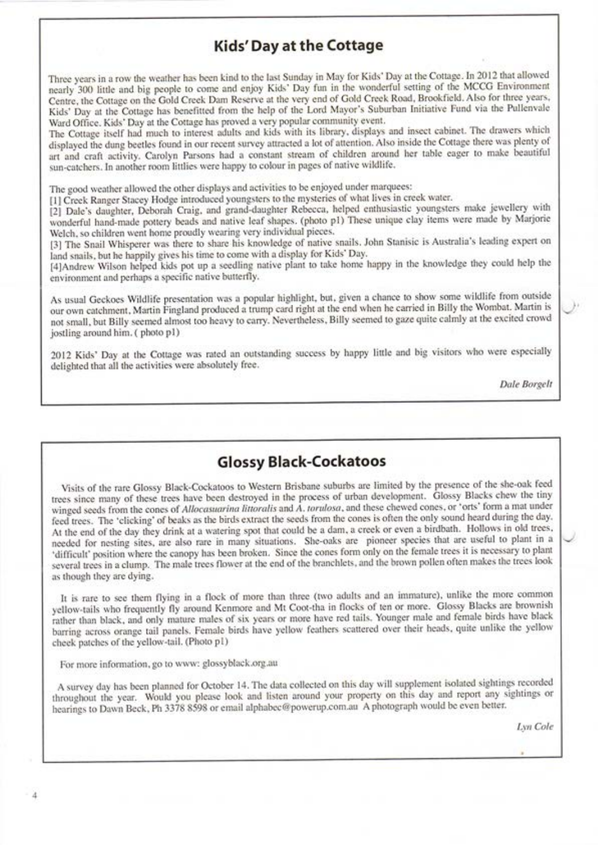#### Kids'Day at the Cottage

Three years in a row the weather has been kind to the last Sunday in May for Kids' Day at the Cottage. In 2012 that allowed nearly 300 little and big people to come and enjoy Kids' Day fun in the wonderful setting of the MCCG Environment Centre, the Cottage on the Gold Creek Dam Reserve at the very end of Gold Creek Road, Brookfield. Also for three years, Kids' Day at the Cottage has benefitted from the help of the Lord Mayor's Suburban Initiative Fund via the Pullenvale Ward Office. Kids'Day at the Cottage has proved a very popular community event.

The Cottage itself had much to interest adults and kids with its library, displays and insect cabinet. The drawers which displayed the dung beetles found in our recent survey attracted a lot of attention. Also inside the Cottage there was plenty of art and craft activity. Carolyn Parsons had a constant stream of children around her table eager to make beautiful sun-catchers. In another room littlies were happy to colour in pages of native wildlife.

The good weather allowed the other displays and activities to be enjoyed under marquees:

[1] Creek Ranger Stacey Hodge introduced youngsters to the mysteries of what lives in creek water.

[2] Dale's daughter, Deborah Craig, and grand-daughter Rebecca, helped enthusiastic youngsters make jewellery with wonderful hand-made pottery beads and native leaf shapes. (photo p1) These unique clay items were made by Marjorie Welch, so children went home proudly wearing very individual pieces.

[3] The Snail Whisperer was there to share his knowledge of native snails. John Stanisic is Australia's leading expert on land snails, but he happily gives his time to come with a display for Kids' Day.

[4]Andrew Wilson helped kids pot up a seedling native plant to take home happy in the knowledge they could help the environment and perhaps a specific native butterfly.

As usual Geckoes Wildlife presentation was a popular highlight, but, given a chance to show some wildlife from outside our own catchment, Martin Fingland produced a trump card right at the end when he carried in Billy the Wombat. Martin is not small, but Billy seemed almost too heavy to carry. Nevertheless, Billy seemed to gaze quite calmly at the excited crowd jostling around him. (photo p1)

2012 Kids' Day at the Cottage was rated an outstanding success by happy little and big visitors who were especially delighted that all the activities were absolutely free.

Dale Borgelt

### Glossy Black-Cockatoos

Visits of the rare Glossy Black-Cockatoos to Western Brisbane suburbs are limited by the presence of the she-oak feed trees since many of these trees have been destroyed in the process of urban development. Glossy Blacks chew the tiny winged seeds from the cones of Allocasuarina littoralis and  $\Lambda$ . torulosa, and these chewed cones, or 'orts' form a mat under feed trees. The 'clicking' of beaks as the birds extract the seeds from the cones is often the only sound heard during the day. At the end of the day they drink at a watering spot that could be a dam, a creek or even a birdbath. Hollows in old trees, needed for nesting sites, are also rare in many situations. She-oaks are pioneer species that are useful to plant in a 'difficult' position where the canopy has been broken. Since the cones form only on the female trees it is necessary to plant several trees in a clump. The male trees flower at the end of the branchlets, and the brown pollen often makes the trees look as though they are dying.

It is rare to see them flying in a flock of more than three (two adults and an immature), unlike the more common yellow-tails who frequently fly around Kenmore and Mt Coot-tha in flocks of ten or more. Glossy Blacks are brownish rather than black, and only mature males of six years or more have red tails. Younger male and female birds have black barring across orange tail panels. Female birds have yellow feathers scattered over their heads, quite unlike the yellow cheek patches of the yellow-tail. (Photo p1)

For more information, go to www: glossyblack.org.au

A survey day has been planned for October 14. The data collected on this day ivill supplement isolated sightings recorded throughout the year. Would you please look and listen around your property on this day and report any sightings or hearings to Dawn Beck, Ph 3378 8598 or email alphabec@powerup.com.au A photograph would be even better.

Lyn Cole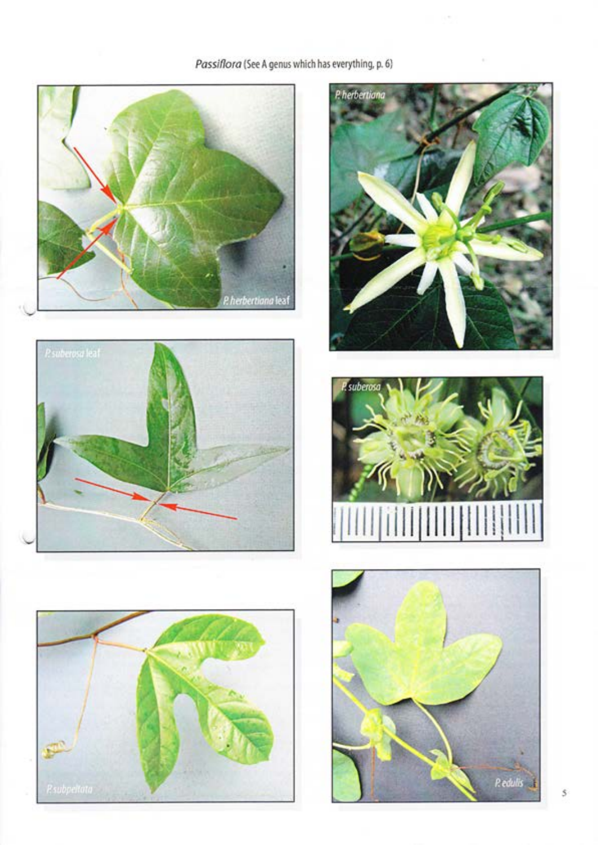# Passiflora (See A genus which has everything, p. 6)











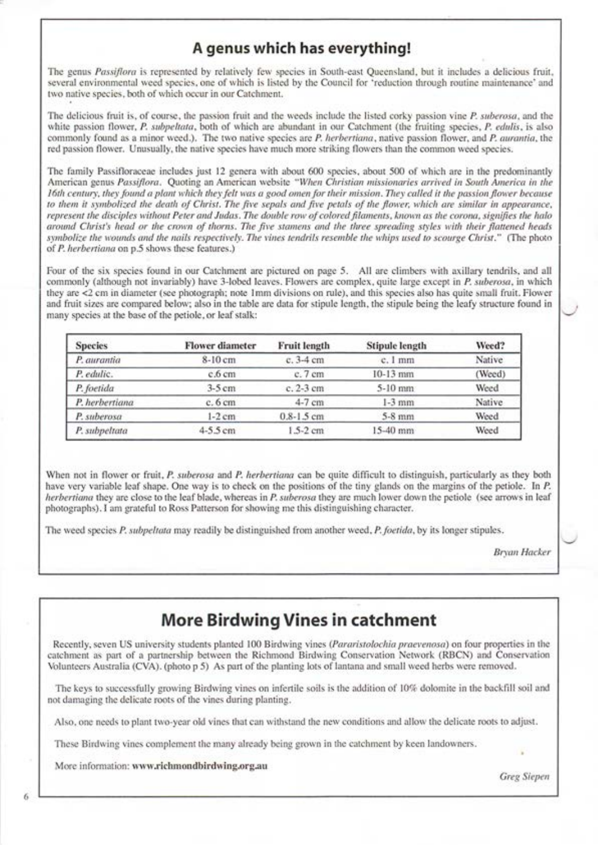### A genus which has everything!

The genus Passiflora is represented by relatively few species in South-east Queensland, but it includes a delicious fruit, several environmental weed species, one of which is listed by the Council for 'reduction through routine maintenance' and two native species, both of which occur in our Catchment.

The delicious fruit is, of course, the passion fruit and the weeds include the listed corky passion vine P. suberosa, and the white passion flower, P. subpeltata, both of which are abundant in our Catchment (the fruiting species, P. edulis, is also commonly found as a minor weed.). The two native species are P. herbertiana, native passion flower, and P. aurantia, the red passion flower. Unusually, the native species have much more striking flowers than the common weed species.

The family Passifloraceae includes just 12 genera with about 600 species, about 500 of which are in the predominantly American genus Passiflora. Quoting an American website "When Christian missionaries arrived in South America in the 16th century, they found a plant which they felt was a good omen for their mission. They called it the passion flower because to them it symbolized the death of Christ. The five sepals and five petals of the flower, which are similar in appearance, represent the disciples without Peter and Judas. The double row of colored filaments, known as the corona, signifies the halo around Christ's head or the crown of thorns. The five stamens and the three spreading styles with their flattened heads symbolize the wounds and the nails respectively. The vines tendrils resemble the whips used to scourge Christ." (The photo of P. herbertiana on p.5 shows these features.)

Four of the six species found in our Catchment are pictured on page 5. All are climbers with axillary tendrils, and all commonly (although not invariably) have 3-lobed leaves. Flowers are complex, quite large except in P. suberosa, in which they are <2 cm in diameter (see photograph; note lmm divisions on rule), and this species also has quite small fruit. Fiorver and fruit sizes are compared belorv; also in the table are data for stipule length, the stipule being the leafy structure found in many species at the base of the petiole, or leaf stalk:

| <b>Species</b> | <b>Flower diameter</b> | <b>Fruit length</b> | <b>Stipule length</b> | Weed?  |
|----------------|------------------------|---------------------|-----------------------|--------|
| P. aurantia    | 8-10 cm                | c. 3-4 cm           | c. 1 mm               | Native |
| P. edulic.     | c.6 cm                 | $c.7$ cm            | $10-13$ mm            | (Weed) |
| P. foetida     | $3-5$ cm               | $c$ , $2-3$ cm      | 5-10 mm               | Weed   |
| P. herbertiana | $c.6$ cm               | 4-7 cm              | $1-3$ mm              | Native |
| P. suberosa    | $1-2$ cm               | $0.8 - 1.5$ cm      | $5-8$ mm              | Weed   |
| P. subpeltata  | $4-5.5$ cm             | $1.5 - 2$ cm        | 15-40 mm              | Weed   |

When not in flower or fruit, P. suberosa and P. herbertiana can be quite difficult to distinguish, particularly as they both have very variable leaf shape. One way is to check on the positions of the tiny glands on the margins of the petiole. In P. herbertiana they are close to the leaf blade, whereas in P. suberosa they are much lower down the petiole (see arrows in leaf photographs). I am grateful to Ross Patterson for showing me this distinguishing character.

The weed species P. subpeltata may readily be distinguished from another weed, P. foetida, by its longer stipules.

Bryan Hacker

# More Birdwing Vines in catchment

Recently, seven US university students planted 100 Birdwing vines (Pararistolochia praevenosa) on four properties in the catchment as part of a partnership between the Richmond Birdwing Conservation Network (RBCN) and Conservation Volunteers Australia (CVA). (photo p 5) As part of the planting lots of lantana and small weed herbs were removed.

The keys to successfully growing Birdwing vines on infertile soils is the addition of 10% dolomite in the backfill soil and not damaging the delicate roots of the vines during planting.

Also, one needs to plant two-year old vines that can withstand the new conditions and allow the delicate roots to adjust.

These Birdwing vines complement the many already being grown in the catchment by keen landowners.

More information: www.richmondbirdwing.org.au

Greg Siepen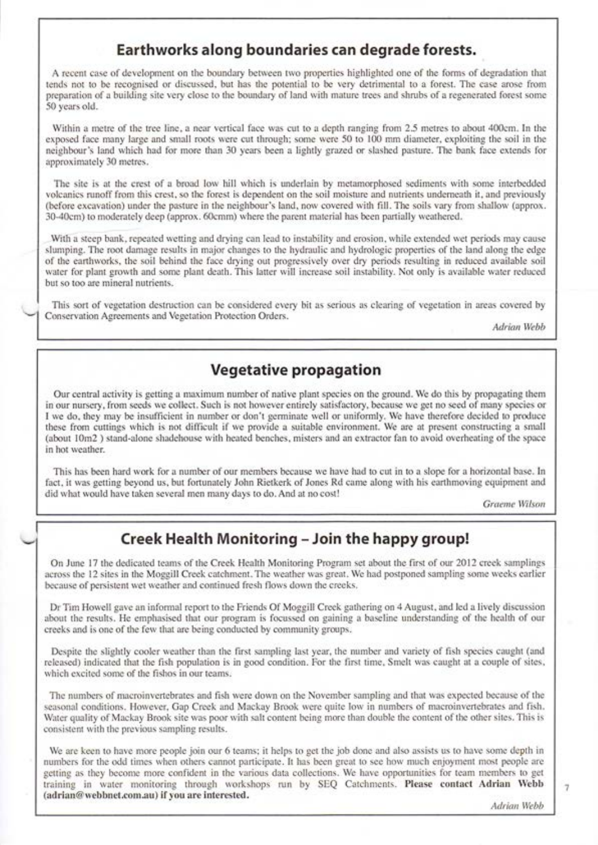### Earthworks along boundaries can degrade forests.

A recent case of development on the boundary betrveen trvo properties highlighted one of the forms of degradation that tends not to be recognised or discussed, but has the potential to be very detrimental to a forest. The case arose from preparation of a building site very close to the boundary of land with mature trees and shrubs of a regenerated forest some 50 years old.

Within a metre of the tree line, a near vertical face was cut to a depth ranging from 2.5 metres to about 400cm. In the exposed face many large and small roots were cut through; some were 50 to 100 mm diameter, exploiting the soil in the neighbour's land which had for more than 30 years been a lightly grazed or slashed pasture. The bank face extends for approximately 30 metres.

The site is at the crest of a broad low hill which is underlain by metamorphosed sediments with some interbedded volcanics runoff from this crest, so the forest is dependent on the soil moisture and nutrients undemeath it, and previously (before excavation) under the pasture in the neighbour's land, now covered with fill. The soils vary from shallow (approx. 30-40cm) to moderately deep (approx. 60cmm) where the parent material has been partially weathered.

With a steep bank, repeated wetting and drying can lead to instability and erosion, while extended wet periods may cause slumping. The root damage results in major changes to the hydraulic and hydrologic properties of the land along the edge of the earthrvorks, the soil behind the face drying out progressively over dry periods resulting in reduced available soil water for plant growth and some plant death. This latter will increase soil instability. Not only is available water reduced but so too are mineral nutrients.

This sort of vegetation destruction can be considered every bit as serious as clearing of vegetation in areas covered by Conservation Agreements and Ve getation Protection Orders.

Adrian Webb

### Vegetative propagation

Our central activity is getting a maximum number of native plant species on the ground. We do this by propagating them in our nursery, from seeds we collect. Such is not however entirely satisfactory, because we get no seed of many species or I we do, they may be insufficient in number or don't germinate well or uniformly. We have therefore decided to produce these from cuttings which is not difficult if we provide a suitable environment. We are at present constructing a small (about 10m2) stand-alone shadehouse with heated benches, misters and an extractor fan to avoid overheating of the space in hot weather.

This has been hard work for a number of our members because we have had to cut in to a slope for a horizontal base. In fact, it was getting beyond us, but fortunately John Rietkerk of Jones Rd came along with his earthmoving equipment and did what would have taken several men many days to do. And at no cost!

Graeme Wilson

### Creek Health Monitoring - Join the happy group!

On June 17 the dedicated teams of the Creek Health Monitoring Program set about the first of our 2012 creek samplings across the 12 sites in the Moggill Creek catchment. The weather was great. We had postponed sampling some weeks earlier because of persistent wet weather and continued fresh flows down the creeks.

Dr Tim Horvell gave an informal report to the Friends Of Moggill Creek gathering on 4 August, and led a lively discussion about the results. He emphasised that our program is focussed on gaining a baseline understanding of the health of our creeks and is one of the ferv that are being conducted by community groups.

Despite the slightly cooler weather than the first sampling last year, the number and variety of fish species caught (and released) indicated that the fish population is in good condition. For the first time, Smelt was caught at a couple of sites, which excited some of the fishos in our teams.

The numbers of macroinvertebrates and fish were down on the November sampling and that was expected because of the seasonal conditions. However, Gap Creek and Mackay Brook were quite low in numbers of macroinvertebrates and fish. Water quality of Mackay Brook site was poor with salt content being more than double the content of the other sites. This is consistent with the previous sampling results.

We are keen to have more people join our 6 teams; it helps to get the job done and also assists us to have some depth in numbers for the odd times rvhen others cannot participate. It has been great to see horv much enjoyment most people are getting as they become more confident in the various data collections. We have opportunities for team members to get training in water monitoring through workshops run by SEQ Catchments. Please contact Adrian Webb (adrian@webbnet.com.au) if you are interested.

 $\tau$